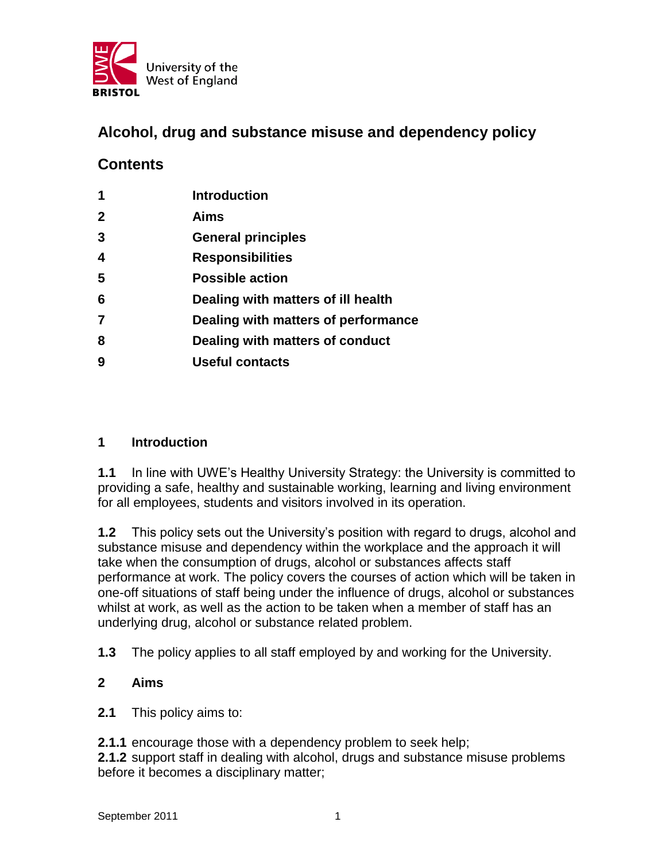

# **Alcohol, drug and substance misuse and dependency policy**

# **Contents**

| 1                       | <b>Introduction</b>                 |
|-------------------------|-------------------------------------|
| $\mathbf 2$             | Aims                                |
| 3                       | <b>General principles</b>           |
| $\overline{\mathbf{4}}$ | <b>Responsibilities</b>             |
| 5                       | <b>Possible action</b>              |
| 6                       | Dealing with matters of ill health  |
| 7                       | Dealing with matters of performance |
| 8                       | Dealing with matters of conduct     |
| 9                       | <b>Useful contacts</b>              |
|                         |                                     |

### **1 Introduction**

**1.1** In line with UWE's Healthy University Strategy: the University is committed to providing a safe, healthy and sustainable working, learning and living environment for all employees, students and visitors involved in its operation.

**1.2** This policy sets out the University's position with regard to drugs, alcohol and substance misuse and dependency within the workplace and the approach it will take when the consumption of drugs, alcohol or substances affects staff performance at work. The policy covers the courses of action which will be taken in one-off situations of staff being under the influence of drugs, alcohol or substances whilst at work, as well as the action to be taken when a member of staff has an underlying drug, alcohol or substance related problem.

**1.3** The policy applies to all staff employed by and working for the University.

#### **2 Aims**

**2.1** This policy aims to:

**2.1.1** encourage those with a dependency problem to seek help;

**2.1.2** support staff in dealing with alcohol, drugs and substance misuse problems before it becomes a disciplinary matter;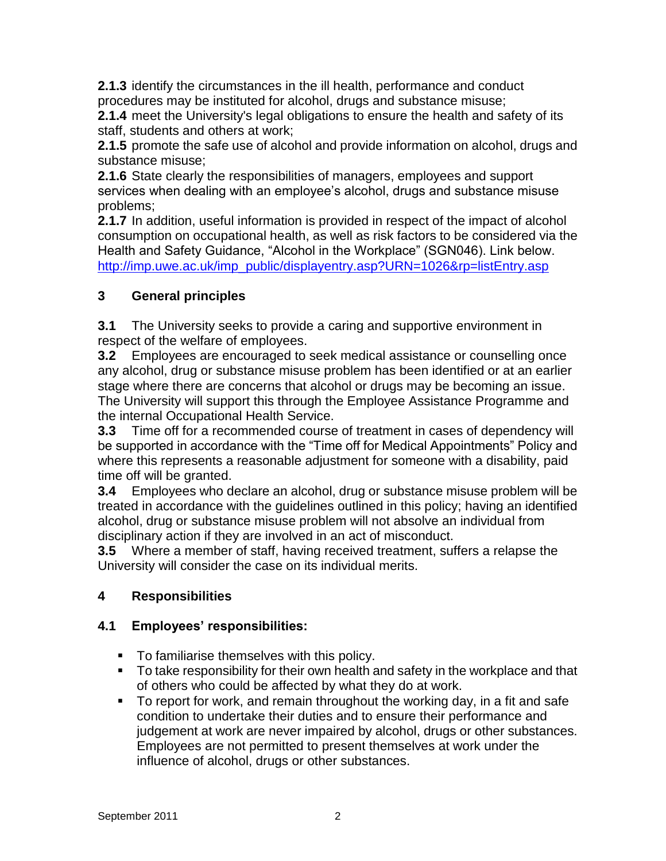**2.1.3** identify the circumstances in the ill health, performance and conduct procedures may be instituted for alcohol, drugs and substance misuse;

**2.1.4** meet the University's legal obligations to ensure the health and safety of its staff, students and others at work;

**2.1.5** promote the safe use of alcohol and provide information on alcohol, drugs and substance misuse;

**2.1.6** State clearly the responsibilities of managers, employees and support services when dealing with an employee's alcohol, drugs and substance misuse problems;

**2.1.7** In addition, useful information is provided in respect of the impact of alcohol consumption on occupational health, as well as risk factors to be considered via the Health and Safety Guidance, "Alcohol in the Workplace" (SGN046). Link below. [http://imp.uwe.ac.uk/imp\\_public/displayentry.asp?URN=1026&rp=listEntry.asp](http://imp.uwe.ac.uk/imp_public/displayentry.asp?URN=1026&rp=listEntry.asp)

# **3 General principles**

**3.1** The University seeks to provide a caring and supportive environment in respect of the welfare of employees.

**3.2** Employees are encouraged to seek medical assistance or counselling once any alcohol, drug or substance misuse problem has been identified or at an earlier stage where there are concerns that alcohol or drugs may be becoming an issue. The University will support this through the Employee Assistance Programme and the internal Occupational Health Service.

**3.3** Time off for a recommended course of treatment in cases of dependency will be supported in accordance with the "Time off for Medical Appointments" Policy and where this represents a reasonable adjustment for someone with a disability, paid time off will be granted.

**3.4** Employees who declare an alcohol, drug or substance misuse problem will be treated in accordance with the guidelines outlined in this policy; having an identified alcohol, drug or substance misuse problem will not absolve an individual from disciplinary action if they are involved in an act of misconduct.

**3.5** Where a member of staff, having received treatment, suffers a relapse the University will consider the case on its individual merits.

# **4 Responsibilities**

### **4.1 Employees' responsibilities:**

- To familiarise themselves with this policy.
- To take responsibility for their own health and safety in the workplace and that of others who could be affected by what they do at work.
- To report for work, and remain throughout the working day, in a fit and safe condition to undertake their duties and to ensure their performance and judgement at work are never impaired by alcohol, drugs or other substances. Employees are not permitted to present themselves at work under the influence of alcohol, drugs or other substances.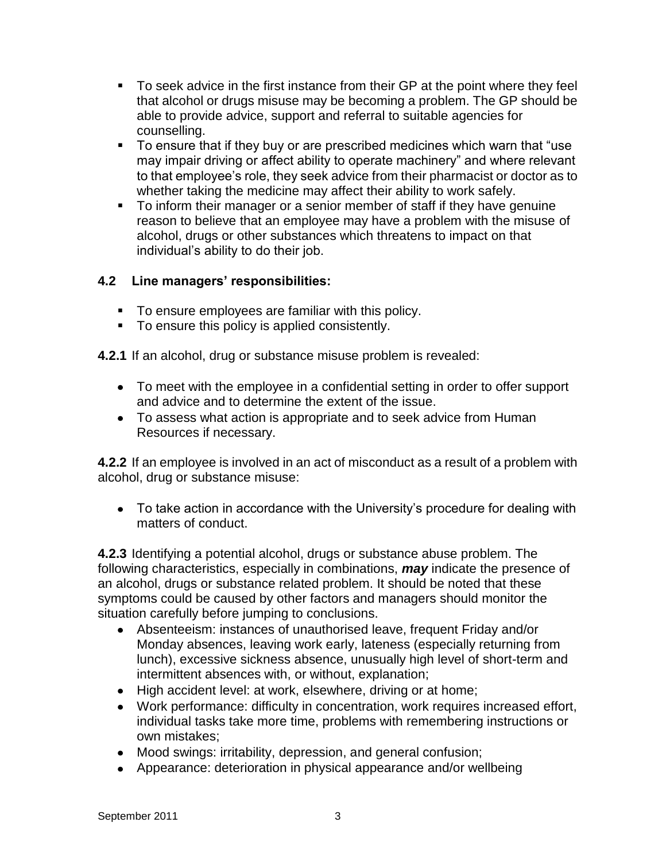- To seek advice in the first instance from their GP at the point where they feel that alcohol or drugs misuse may be becoming a problem. The GP should be able to provide advice, support and referral to suitable agencies for counselling.
- To ensure that if they buy or are prescribed medicines which warn that "use may impair driving or affect ability to operate machinery" and where relevant to that employee's role, they seek advice from their pharmacist or doctor as to whether taking the medicine may affect their ability to work safely.
- To inform their manager or a senior member of staff if they have genuine reason to believe that an employee may have a problem with the misuse of alcohol, drugs or other substances which threatens to impact on that individual's ability to do their job.

## **4.2 Line managers' responsibilities:**

- To ensure employees are familiar with this policy.
- To ensure this policy is applied consistently.

**4.2.1** If an alcohol, drug or substance misuse problem is revealed:

- To meet with the employee in a confidential setting in order to offer support and advice and to determine the extent of the issue.
- To assess what action is appropriate and to seek advice from Human Resources if necessary.

**4.2.2** If an employee is involved in an act of misconduct as a result of a problem with alcohol, drug or substance misuse:

• To take action in accordance with the University's procedure for dealing with matters of conduct.

**4.2.3** Identifying a potential alcohol, drugs or substance abuse problem. The following characteristics, especially in combinations, *may* indicate the presence of an alcohol, drugs or substance related problem. It should be noted that these symptoms could be caused by other factors and managers should monitor the situation carefully before jumping to conclusions.

- Absenteeism: instances of unauthorised leave, frequent Friday and/or Monday absences, leaving work early, lateness (especially returning from lunch), excessive sickness absence, unusually high level of short-term and intermittent absences with, or without, explanation;
- High accident level: at work, elsewhere, driving or at home;
- Work performance: difficulty in concentration, work requires increased effort, individual tasks take more time, problems with remembering instructions or own mistakes;
- Mood swings: irritability, depression, and general confusion;
- Appearance: deterioration in physical appearance and/or wellbeing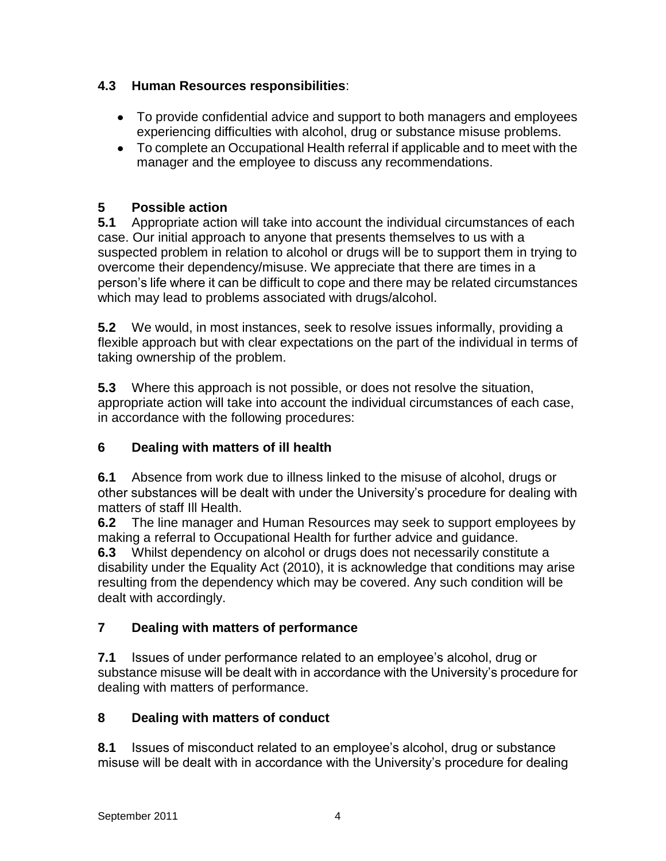## **4.3 Human Resources responsibilities**:

- To provide confidential advice and support to both managers and employees experiencing difficulties with alcohol, drug or substance misuse problems.
- To complete an Occupational Health referral if applicable and to meet with the manager and the employee to discuss any recommendations.

## **5 Possible action**

**5.1** Appropriate action will take into account the individual circumstances of each case. Our initial approach to anyone that presents themselves to us with a suspected problem in relation to alcohol or drugs will be to support them in trying to overcome their dependency/misuse. We appreciate that there are times in a person's life where it can be difficult to cope and there may be related circumstances which may lead to problems associated with drugs/alcohol.

**5.2** We would, in most instances, seek to resolve issues informally, providing a flexible approach but with clear expectations on the part of the individual in terms of taking ownership of the problem.

**5.3** Where this approach is not possible, or does not resolve the situation, appropriate action will take into account the individual circumstances of each case, in accordance with the following procedures:

### **6 Dealing with matters of ill health**

**6.1** Absence from work due to illness linked to the misuse of alcohol, drugs or other substances will be dealt with under the University's procedure for dealing with matters of staff Ill Health.

**6.2** The line manager and Human Resources may seek to support employees by making a referral to Occupational Health for further advice and guidance.

**6.3** Whilst dependency on alcohol or drugs does not necessarily constitute a disability under the Equality Act (2010), it is acknowledge that conditions may arise resulting from the dependency which may be covered. Any such condition will be dealt with accordingly.

# **7 Dealing with matters of performance**

**7.1** Issues of under performance related to an employee's alcohol, drug or substance misuse will be dealt with in accordance with the University's procedure for dealing with matters of performance.

# **8 Dealing with matters of conduct**

**8.1** Issues of misconduct related to an employee's alcohol, drug or substance misuse will be dealt with in accordance with the University's procedure for dealing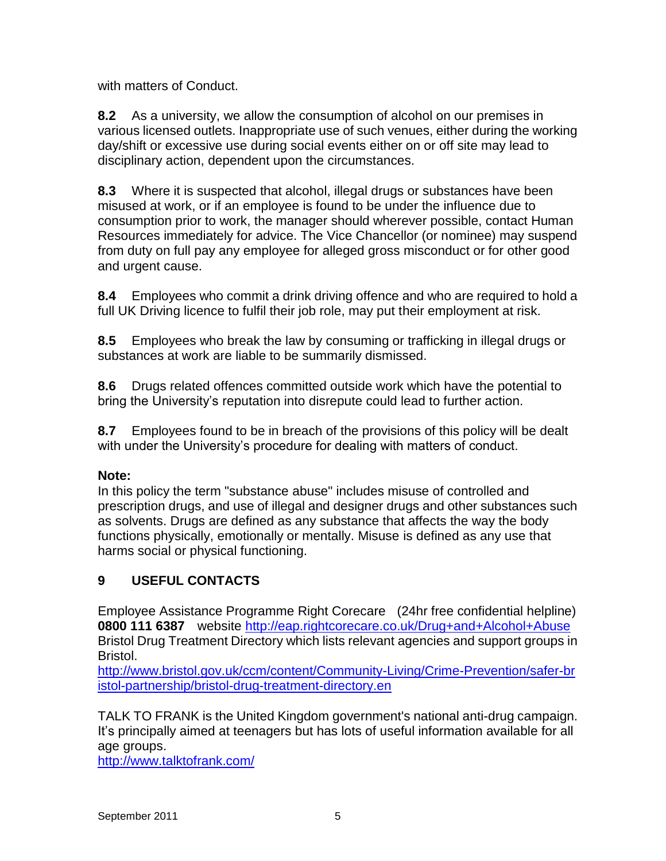with matters of Conduct.

**8.2** As a university, we allow the consumption of alcohol on our premises in various licensed outlets. Inappropriate use of such venues, either during the working day/shift or excessive use during social events either on or off site may lead to disciplinary action, dependent upon the circumstances.

**8.3** Where it is suspected that alcohol, illegal drugs or substances have been misused at work, or if an employee is found to be under the influence due to consumption prior to work, the manager should wherever possible, contact Human Resources immediately for advice. The Vice Chancellor (or nominee) may suspend from duty on full pay any employee for alleged gross misconduct or for other good and urgent cause.

**8.4** Employees who commit a drink driving offence and who are required to hold a full UK Driving licence to fulfil their job role, may put their employment at risk.

**8.5** Employees who break the law by consuming or trafficking in illegal drugs or substances at work are liable to be summarily dismissed.

**8.6** Drugs related offences committed outside work which have the potential to bring the University's reputation into disrepute could lead to further action.

**8.7** Employees found to be in breach of the provisions of this policy will be dealt with under the University's procedure for dealing with matters of conduct.

### **Note:**

In this policy the term "substance abuse" includes misuse of controlled and prescription drugs, and use of illegal and designer drugs and other substances such as solvents. Drugs are defined as any substance that affects the way the body functions physically, emotionally or mentally. Misuse is defined as any use that harms social or physical functioning.

# **9 USEFUL CONTACTS**

Employee Assistance Programme Right Corecare (24hr free confidential helpline) **0800 111 6387** website<http://eap.rightcorecare.co.uk/Drug+and+Alcohol+Abuse> Bristol Drug Treatment Directory which lists relevant agencies and support groups in Bristol.

[http://www.bristol.gov.uk/ccm/content/Community-Living/Crime-Prevention/safer-br](http://www.bristol.gov.uk/ccm/content/Community-Living/Crime-Prevention/safer-bristol-partnership/bristol-drug-treatment-directory.en) [istol-partnership/bristol-drug-treatment-directory.en](http://www.bristol.gov.uk/ccm/content/Community-Living/Crime-Prevention/safer-bristol-partnership/bristol-drug-treatment-directory.en)

TALK TO FRANK is the United Kingdom government's national anti-drug campaign. It's principally aimed at teenagers but has lots of useful information available for all age groups.

<http://www.talktofrank.com/>